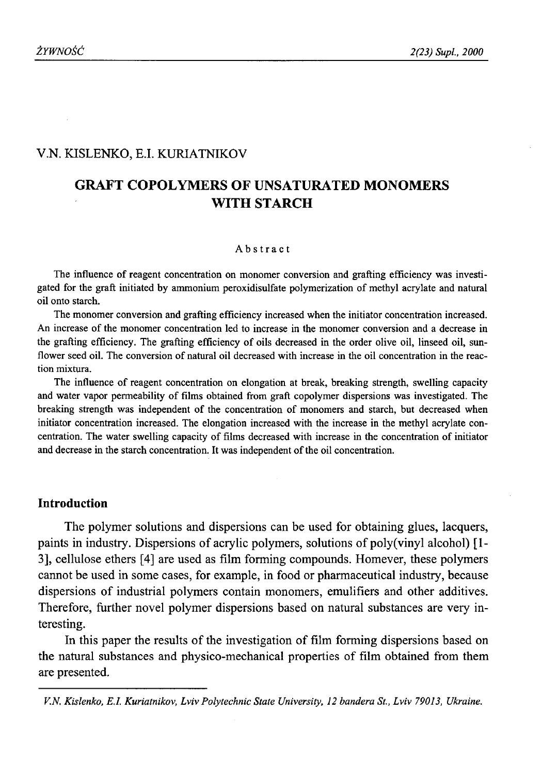## V.N. KISLENKO, E.I. KURIATNIKOV

# **GRAFT COPOLYMERS OF UNSATURATED MONOMERS WITH STARCH**

#### Abstract

The influence of reagent concentration on monomer conversion and grafting efficiency was investigated for the graft initiated by ammonium peroxidisulfate polymerization of methyl acrylate and natural oil onto starch.

The monomer conversion and grafting efficiency increased when the initiator concentration increased. An increase of the monomer concentration led to increase in the monomer conversion and a decrease in the grafting efficiency. The grafting efficiency of oils decreased in the order olive oil, linseed oil, sunflower seed oil. The conversion of natural oil decreased with increase in the oil concentration in the reaction mixtura.

The influence of reagent concentration on elongation at break, breaking strength, swelling capacity and water vapor permeability of films obtained from graft copolymer dispersions was investigated. The breaking strength was independent of the concentration of monomers and starch, but decreased when initiator concentration increased. The elongation increased with the increase in the methyl acrylate concentration. The water swelling capacity of films decreased with increase in the concentration of initiator and decrease in the starch concentration. It was independent of the oil concentration.

#### **Introduction**

The polymer solutions and dispersions can be used for obtaining glues, lacquers, paints in industry. Dispersions of acrylic polymers, solutions of poly(vinyl alcohol) [1- 3], cellulose ethers [4] are used as film forming compounds. Homever, these polymers cannot be used in some cases, for example, in food or pharmaceutical industry, because dispersions of industrial polymers contain monomers, emulifiers and other additives. Therefore, further novel polymer dispersions based on natural substances are very interesting.

In this paper the results of the investigation of film forming dispersions based on the natural substances and physico-mechanical properties of film obtained from them are presented.

*V.N. Kislenko, E.I. Kuriatnikov, Lviv Polytechnic State University, 12 bandera St., Lviv 79013, Ukraine.*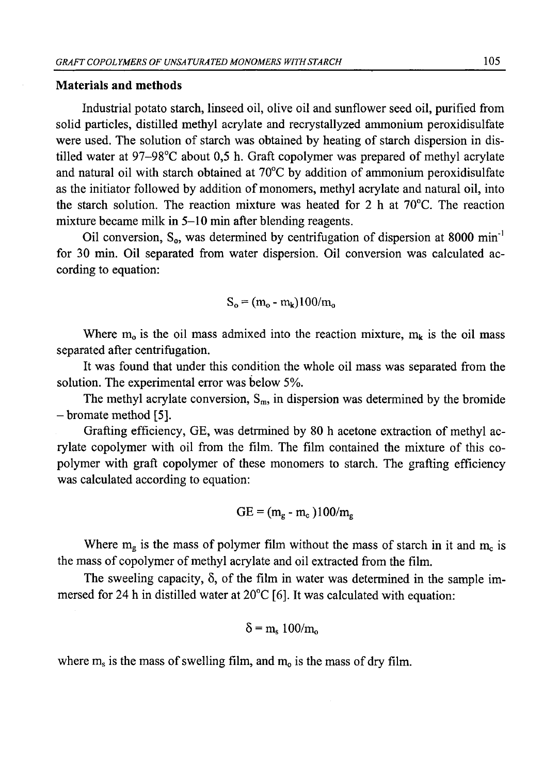### **Materials and methods**

Industrial potato starch, linseed oil, olive oil and sunflower seed oil, purified from solid particles, distilled methyl acrylate and recrystallyzed ammonium peroxidisulfate were used. The solution of starch was obtained by heating of starch dispersion in distilled water at 97-98°C about 0,5 h. Graft copolymer was prepared of methyl acrylate and natural oil with starch obtained at 70°C by addition of ammonium peroxidisulfate as the initiator followed by addition of monomers, methyl acrylate and natural oil, into the starch solution. The reaction mixture was heated for 2 h at  $70^{\circ}$ C. The reaction mixture became milk in 5-10 min after blending reagents.

Oil conversion,  $S_0$ , was determined by centrifugation of dispersion at 8000 min<sup>-1</sup> for 30 min. Oil separated from water dispersion. Oil conversion was calculated according to equation:

$$
S_o = (m_o - m_k)100/m_o
$$

Where  $m_0$  is the oil mass admixed into the reaction mixture,  $m_k$  is the oil mass separated after centrifugation.

It was found that under this condition the whole oil mass was separated from the solution. The experimental error was below 5%.

The methyl acrylate conversion,  $S_m$ , in dispersion was determined by the bromide - bromate method [5].

Grafting efficiency, GE, was detrmined by 80 h acetone extraction of methyl acrylate copolymer with oil from the film. The film contained the mixture of this copolymer with graft copolymer of these monomers to starch. The grafting efficiency was calculated according to equation:

$$
GE = (m_g - m_c)100/m_g
$$

Where  $m_g$  is the mass of polymer film without the mass of starch in it and  $m_c$  is the mass of copolymer of methyl acrylate and oil extracted from the film.

The sweeling capacity,  $\delta$ , of the film in water was determined in the sample immersed for 24 h in distilled water at 20°C [6]. It was calculated with equation:

$$
\delta = m_s \ 100/m_o
$$

where  $m_s$  is the mass of swelling film, and  $m_o$  is the mass of dry film.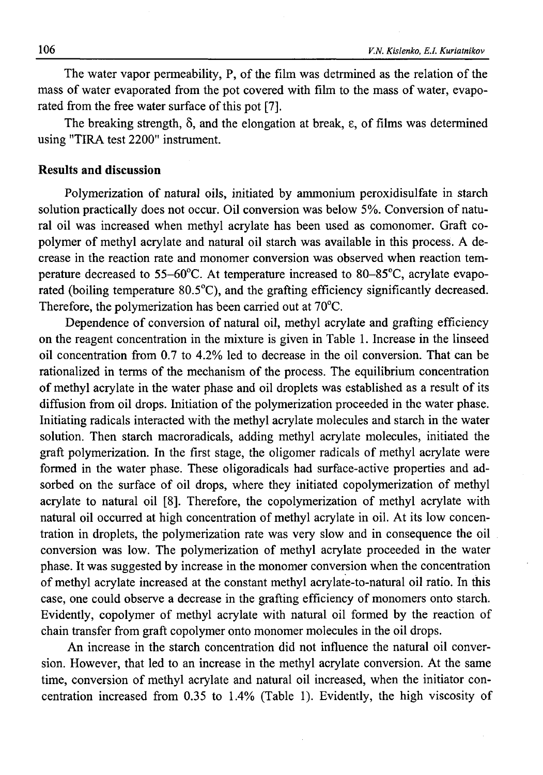The water vapor permeability, P, of the film was detrmined as the relation of the mass of water evaporated from the pot covered with film to the mass of water, evaporated from the free water surface of this pot [7].

The breaking strength,  $\delta$ , and the elongation at break,  $\epsilon$ , of films was determined using "TIRA test 2200" instrument.

### **Results and discussion**

Polymerization of natural oils, initiated by ammonium peroxidisulfate in starch solution practically does not occur. Oil conversion was below 5%. Conversion of natural oil was increased when methyl acrylate has been used as comonomer. Graft copolymer of methyl acrylate and natural oil starch was available in this process. A decrease in the reaction rate and monomer conversion was observed when reaction temperature decreased to 55-60°C. At temperature increased to 80-85°C, acrylate evaporated (boiling temperature 80.5°C), and the grafting efficiency significantly decreased. Therefore, the polymerization has been carried out at 70°C.

Dependence of conversion of natural oil, methyl acrylate and grafting efficiency on the reagent concentration in the mixture is given in Table 1. Increase in the linseed oil concentration from 0.7 to 4.2% led to decrease in the oil conversion. That can be rationalized in terms of the mechanism of the process. The equilibrium concentration of methyl acrylate in the water phase and oil droplets was established as a result of its diffusion from oil drops. Initiation of the polymerization proceeded in the water phase. Initiating radicals interacted with the methyl acrylate molecules and starch in the water solution. Then starch macroradicals, adding methyl acrylate molecules, initiated the graft polymerization. In the first stage, the oligomer radicals of methyl acrylate were formed in the water phase. These oligoradicals had surface-active properties and adsorbed on the surface of oil drops, where they initiated copolymerization of methyl acrylate to natural oil [8]. Therefore, the copolymerization of methyl acrylate with natural oil occurred at high concentration of methyl acrylate in oil. At its low concentration in droplets, the polymerization rate was very slow and in consequence the oil conversion was low. The polymerization of methyl acrylate proceeded in the water phase. It was suggested by increase in the monomer conversion when the concentration of methyl acrylate increased at the constant methyl acrylate-to-natural oil ratio. In this case, one could observe a decrease in the grafting efficiency of monomers onto starch. Evidently, copolymer of methyl acrylate with natural oil formed by the reaction of chain transfer from graft copolymer onto monomer molecules in the oil drops.

An increase in the starch concentration did not influence the natural oil conversion. However, that led to an increase in the methyl acrylate conversion. At the same time, conversion of methyl acrylate and natural oil increased, when the initiator concentration increased from 0.35 to 1.4% (Table 1). Evidently, the high viscosity of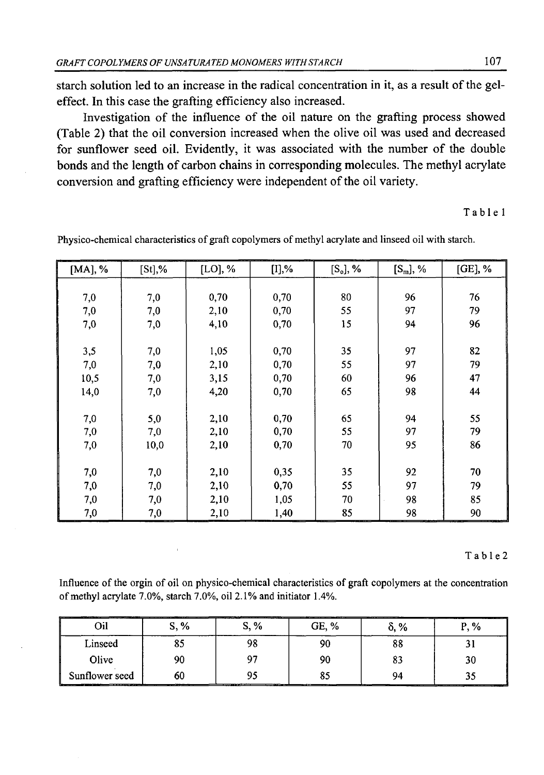starch solution led to an increase in the radical concentration in it, as a result of the geleffect. In this case the grafting efficiency also increased.

Investigation of the influence of the oil nature on the grafting process showed (Table 2) that the oil conversion increased when the olive oil was used and decreased for sunflower seed oil. Evidently, it was associated with the number of the double bonds and the length of carbon chains in corresponding molecules. The methyl acrylate conversion and grafting efficiency were independent of the oil variety.

Table 1

| [MA], % | $[St]$ ,% | $[LO],$ % | $[I]9$ % | $[S_o]$ , % | $[S_m], \mathcal{V}_0$ | $[GE]$ , % |
|---------|-----------|-----------|----------|-------------|------------------------|------------|
|         |           |           |          |             |                        |            |
| 7,0     | 7,0       | 0,70      | 0,70     | 80          | 96                     | 76         |
| 7,0     | 7,0       | 2,10      | 0,70     | 55          | 97                     | 79         |
| 7,0     | 7,0       | 4,10      | 0,70     | 15          | 94                     | 96         |
|         |           |           |          |             |                        |            |
| 3,5     | 7,0       | 1,05      | 0,70     | 35          | 97                     | 82         |
| 7,0     | 7,0       | 2,10      | 0,70     | 55          | 97                     | 79         |
| 10,5    | 7,0       | 3,15      | 0,70     | 60          | 96                     | 47         |
| 14,0    | 7,0       | 4,20      | 0,70     | 65          | 98                     | 44         |
|         |           |           |          |             |                        |            |
| 7,0     | 5,0       | 2,10      | 0,70     | 65          | 94                     | 55         |
| 7,0     | 7,0       | 2,10      | 0,70     | 55          | 97                     | 79         |
| 7,0     | 10,0      | 2,10      | 0,70     | 70          | 95                     | 86         |
|         |           |           |          |             |                        |            |
| 7,0     | 7,0       | 2,10      | 0,35     | 35          | 92                     | 70         |
| 7,0     | 7,0       | 2,10      | 0,70     | 55          | 97                     | 79         |
| 7,0     | 7,0       | 2,10      | 1,05     | 70          | 98                     | 85         |
| 7,0     | 7,0       | 2,10      | 1,40     | 85          | 98                     | 90         |

Physico-chemical characteristics of graft copolymers of methyl acrylate and linseed oil with starch.

#### T a b 1e 2

Influence of the orgin of oil on physico-chemical characteristics of graft copolymers at the concentration of methyl acrylate 7.0%, starch 7.0%, oil 2.1% and initiator 1.4%.

| ____           | '. % | S. %      | 3E. % | _________<br>____<br>% | _____<br>______                                                                                                  |
|----------------|------|-----------|-------|------------------------|------------------------------------------------------------------------------------------------------------------|
| Linseed        |      |           |       | оι                     |                                                                                                                  |
| Olive          |      | ∼         |       | o.                     |                                                                                                                  |
| Suntlower seed | oι   | _________ |       | ____<br>_____          | and the company of the company of the company of the company of the company of the company of the company of the |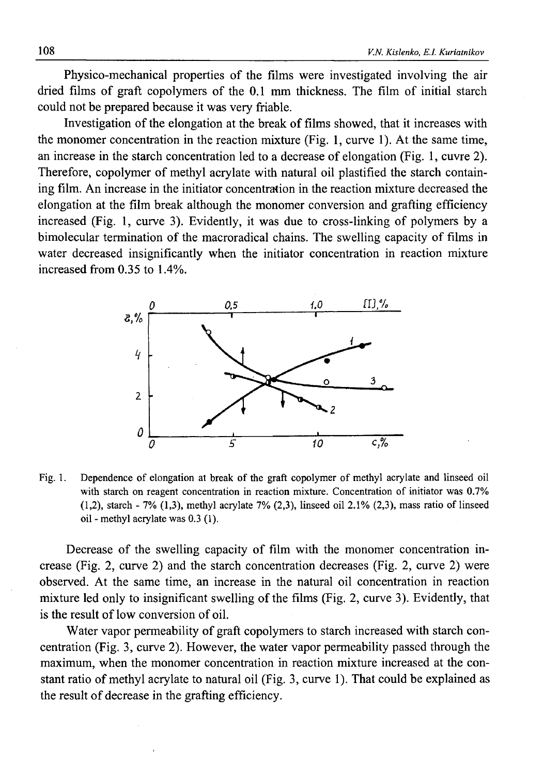Physico-mechanical properties of the films were investigated involving the air dried films of graft copolymers of the 0.1 mm thickness. The film of initial starch could not be prepared because it was very friable.

Investigation of the elongation at the break of films showed, that it increases with the monomer concentration in the reaction mixture (Fig. 1, curve 1). At the same time, an increase in the starch concentration led to a decrease of elongation (Fig. 1, cuvre 2). Therefore, copolymer of methyl acrylate with natural oil plastified the starch containing film. An increase in the initiator concentration in the reaction mixture decreased the elongation at the film break although the monomer conversion and grafting efficiency increased (Fig. 1, curve 3). Evidently, it was due to cross-linking of polymers by a bimolecular termination of the macroradical chains. The swelling capacity of films in water decreased insignificantly when the initiator concentration in reaction mixture increased from 0.35 to 1.4%.



Fig. 1. Dependence of elongation at break of the graft copolymer of methyl acrylate and linseed oil with starch on reagent concentration in reaction mixture. Concentration of initiator was 0.7% (1,2), starch - 7% (1,3), methyl acrylate 7% (2,3), linseed oil 2.1% (2,3), mass ratio of linseed oil - methyl acrylate was 0.3 (1).

Decrease of the swelling capacity of film with the monomer concentration increase (Fig. 2, curve 2) and the starch concentration decreases (Fig. 2, curve 2) were observed. At the same time, an increase in the natural oil concentration in reaction mixture led only to insignificant swelling of the films (Fig. 2, curve 3). Evidently, that is the result of low conversion of oil.

Water vapor permeability of graft copolymers to starch increased with starch concentration (Fig. 3, curve 2). However, the water vapor permeability passed through the maximum, when the monomer concentration in reaction mixture increased at the constant ratio of methyl acrylate to natural oil (Fig. 3, curve 1). That could be explained as the result of decrease in the grafting efficiency.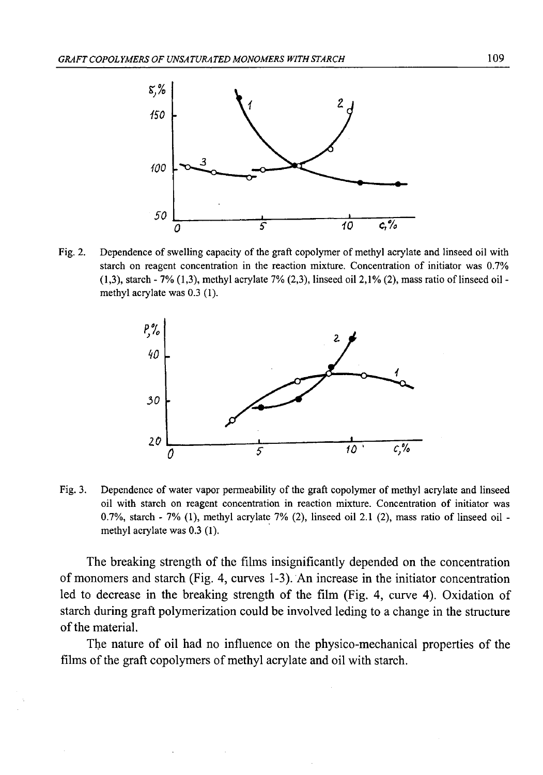

Fig. 2. Dependence of swelling capacity of the graft copolymer of methyl acrylate and linseed oil with starch on reagent concentration in the reaction mixture. Concentration of initiator was 0.7% (1,3), starch - 7% (1,3), methyl acrylate 7% (2,3), linseed oil 2,1% (2), mass ratio of linseed oil methyl acrylate was 0.3 (1).



Fig. 3. Dependence of water vapor permeability of the graft copolymer of methyl acrylate and linseed oil with starch on reagent concentration in reaction mixture. Concentration of initiator was 0.7%, starch - 7% (1), methyl acrylate 7% (2), linseed oil 2.1 (2), mass ratio of linseed oil methyl acrylate was 0.3 (1).

The breaking strength of the films insignificantly depended on the concentration of monomers and starch (Fig. 4, curves 1-3). An increase in the initiator concentration led to decrease in the breaking strength of the film (Fig. 4, curve 4). Oxidation of starch during graft polymerization could be involved leding to a change in the structure of the material.

The nature of oil had no influence on the physico-mechanical properties of the films of the graft copolymers of methyl acrylate and oil with starch.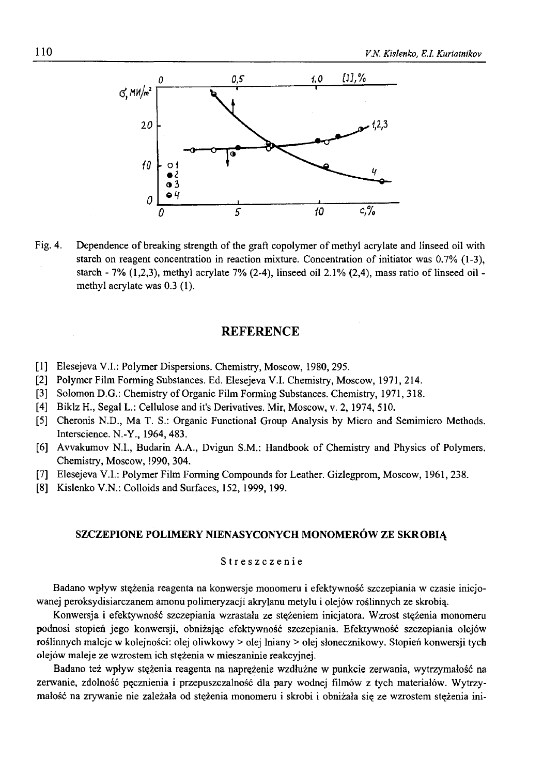

Fig. 4. Dependence of breaking strength of the graft copolymer of methyl acrylate and linseed oil with starch on reagent concentration in reaction mixture. Concentration of initiator was 0.7% (1-3), starch - 7%  $(1,2,3)$ , methyl acrylate 7%  $(2-4)$ , linseed oil  $2.1\%$   $(2,4)$ , mass ratio of linseed oil methyl acrylate was 0.3 (1).

### **REFERENCE**

- [1] Elesejeva V.I.: Polymer Dispersions. Chemistry, Moscow, 1980, 295.
- [2] Polymer Film Forming Substances. Ed. Elesejeva V.I. Chemistry, Moscow, 1971, 214.
- [3] Solomon D.G.: Chemistry of Organic Film Forming Substances. Chemistry, 1971, 318.
- [4] Biklz H., Segal L.: Cellulose and it's Derivatives. Mir, Moscow, v. 2, 1974, 510.
- [5] Cheronis N.D., Ma T. S.: Organic Functional Group Analysis by Micro and Semimicro Methods. Interscience. N.-Y., 1964, 483.
- [6] Avvakumov N.I., Budarin A.A., Dvigun S.M.: Handbook of Chemistry and Physics of Polymers. Chemistry, Moscow, !990, 304.
- [7] Elesejeva V.I.: Polymer Film Forming Compounds for Leather. Gizlegprom, Moscow, 1961, 238.
- [8] Kislenko V.N.: Colloids and Surfaces, 152, 1999, 199.

#### **SZCZEPIONE POLIMERY NIENASYCONYCH MONOMERÓW ZE SKROBIĄ**

#### Streszczenie

Badano wpływ stężenia reagenta na konwersje monomeru i efektywność szczepiania w czasie inicjowanej peroksydisiarczanem amonu polimeryzacji akrylanu metylu i olejów roślinnych ze skrobią.

Konwersja i efektywność szczepiania wzrastała ze stężeniem inicjatora. Wzrost stężenia monomeru podnosi stopień jego konwersji, obniżając efektywność szczepiania. Efektywność szczepiania olejów roślinnych maleje w kolejności: olej oliwkowy > olej lniany > olej słonecznikowy. Stopień konwersji tych olejów maleje ze wzrostem ich stężenia w mieszaninie reakcyjnej.

Badano też wpływ stężenia reagenta na naprężenie wzdłużne w punkcie zerwania, wytrzymałość na zerwanie, zdolność pęcznienia i przepuszczalność dla pary wodnej filmów z tych materiałów. Wytrzymałość na zrywanie nie zależała od stężenia monomeru i skrobi i obniżała się ze wzrostem stężenia ini